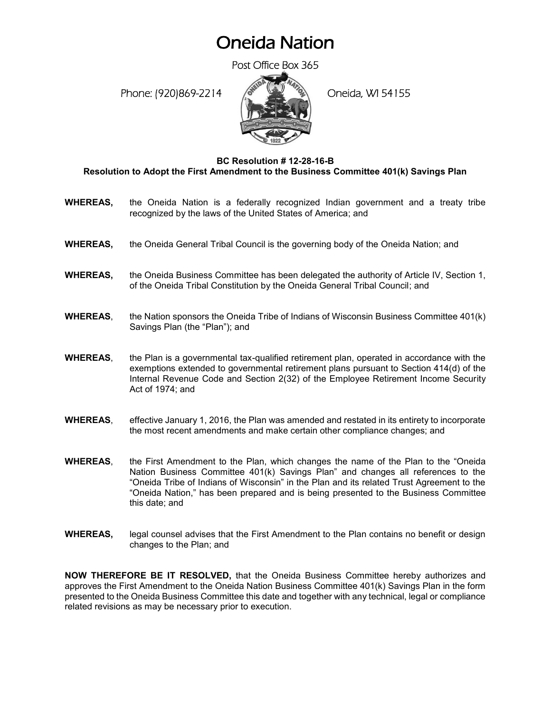## Oneida Nation

Post Office Box 365

Phone: (920)869-2214 (Oneida, WI 54155



## **BC Resolution # 12-28-16-B Resolution to Adopt the First Amendment to the Business Committee 401(k) Savings Plan**

- **WHEREAS,** the Oneida Nation is a federally recognized Indian government and a treaty tribe recognized by the laws of the United States of America; and
- **WHEREAS,** the Oneida General Tribal Council is the governing body of the Oneida Nation; and
- **WHEREAS,** the Oneida Business Committee has been delegated the authority of Article IV, Section 1, of the Oneida Tribal Constitution by the Oneida General Tribal Council; and
- **WHEREAS**, the Nation sponsors the Oneida Tribe of Indians of Wisconsin Business Committee 401(k) Savings Plan (the "Plan"); and
- **WHEREAS**, the Plan is a governmental tax-qualified retirement plan, operated in accordance with the exemptions extended to governmental retirement plans pursuant to Section 414(d) of the Internal Revenue Code and Section 2(32) of the Employee Retirement Income Security Act of 1974; and
- **WHEREAS**, effective January 1, 2016, the Plan was amended and restated in its entirety to incorporate the most recent amendments and make certain other compliance changes; and
- **WHEREAS**, the First Amendment to the Plan, which changes the name of the Plan to the "Oneida Nation Business Committee 401(k) Savings Plan" and changes all references to the "Oneida Tribe of Indians of Wisconsin" in the Plan and its related Trust Agreement to the "Oneida Nation," has been prepared and is being presented to the Business Committee this date; and
- **WHEREAS,** legal counsel advises that the First Amendment to the Plan contains no benefit or design changes to the Plan; and

**NOW THEREFORE BE IT RESOLVED,** that the Oneida Business Committee hereby authorizes and approves the First Amendment to the Oneida Nation Business Committee 401(k) Savings Plan in the form presented to the Oneida Business Committee this date and together with any technical, legal or compliance related revisions as may be necessary prior to execution.